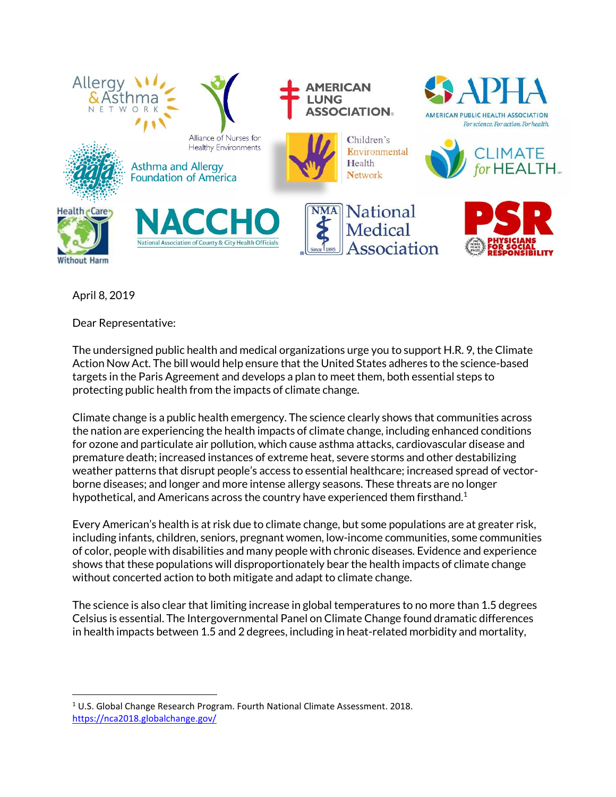

April 8, 2019

 $\overline{\phantom{a}}$ 

Dear Representative:

The undersigned public health and medical organizations urge you to support H.R. 9, the Climate Action Now Act. The bill would help ensure that the United States adheres to the science-based targets in the Paris Agreement and develops a plan to meet them, both essential steps to protecting public health from the impacts of climate change.

Climate change is a public health emergency. The science clearly shows that communities across the nation are experiencing the health impacts of climate change, including enhanced conditions for ozone and particulate air pollution, which cause asthma attacks, cardiovascular disease and premature death; increased instances of extreme heat, severe storms and other destabilizing weather patterns that disrupt people's access to essential healthcare; increased spread of vectorborne diseases; and longer and more intense allergy seasons. These threats are no longer hypothetical, and Americans across the country have experienced them firsthand.<sup>1</sup>

Every American's health is at risk due to climate change, but some populations are at greater risk, including infants, children, seniors, pregnant women, low-income communities, some communities of color, people with disabilities and many people with chronic diseases. Evidence and experience shows that these populations will disproportionately bear the health impacts of climate change without concerted action to both mitigate and adapt to climate change.

The science is also clear that limiting increase in global temperatures to no more than 1.5 degrees Celsius is essential. The Intergovernmental Panel on Climate Change found dramatic differences in health impacts between 1.5 and 2 degrees, including in heat-related morbidity and mortality,

 $1$  U.S. Global Change Research Program. Fourth National Climate Assessment. 2018. <https://nca2018.globalchange.gov/>